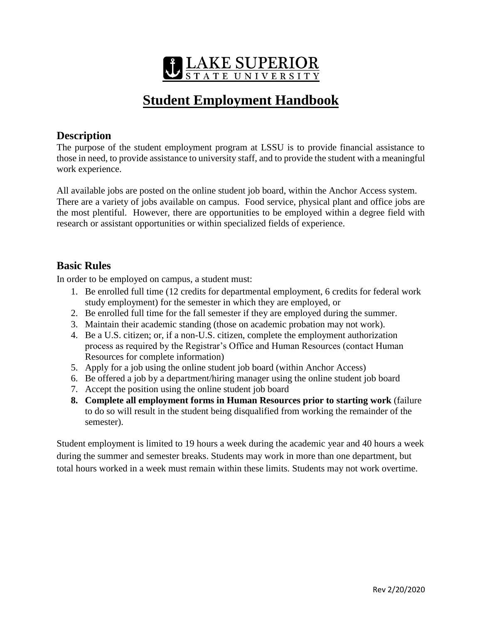

# **Student Employment Handbook**

## **Description**

The purpose of the student employment program at LSSU is to provide financial assistance to those in need, to provide assistance to university staff, and to provide the student with a meaningful work experience.

All available jobs are posted on the online student job board, within the Anchor Access system. There are a variety of jobs available on campus. Food service, physical plant and office jobs are the most plentiful. However, there are opportunities to be employed within a degree field with research or assistant opportunities or within specialized fields of experience.

## **Basic Rules**

In order to be employed on campus, a student must:

- 1. Be enrolled full time (12 credits for departmental employment, 6 credits for federal work study employment) for the semester in which they are employed, or
- 2. Be enrolled full time for the fall semester if they are employed during the summer.
- 3. Maintain their academic standing (those on academic probation may not work).
- 4. Be a U.S. citizen; or, if a non-U.S. citizen, complete the employment authorization process as required by the Registrar's Office and Human Resources (contact Human Resources for complete information)
- 5. Apply for a job using the online student job board (within Anchor Access)
- 6. Be offered a job by a department/hiring manager using the online student job board
- 7. Accept the position using the online student job board
- **8. Complete all employment forms in Human Resources prior to starting work** (failure to do so will result in the student being disqualified from working the remainder of the semester).

Student employment is limited to 19 hours a week during the academic year and 40 hours a week during the summer and semester breaks. Students may work in more than one department, but total hours worked in a week must remain within these limits. Students may not work overtime.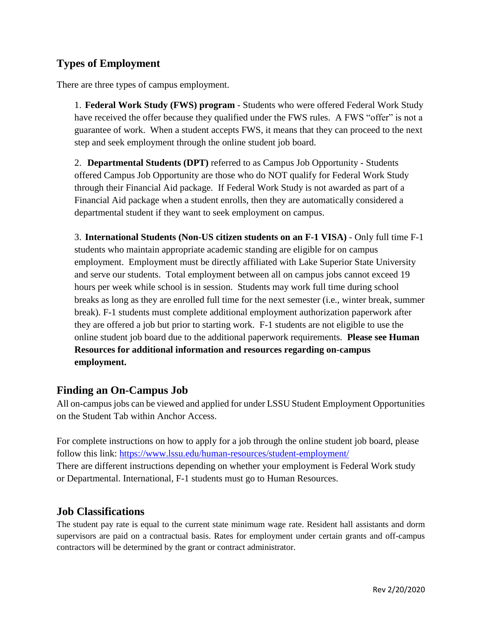## **Types of Employment**

There are three types of campus employment.

1. **Federal Work Study (FWS) program** - Students who were offered Federal Work Study have received the offer because they qualified under the FWS rules. A FWS "offer" is not a guarantee of work. When a student accepts FWS, it means that they can proceed to the next step and seek employment through the online student job board.

2. **Departmental Students (DPT)** referred to as Campus Job Opportunity - Students offered Campus Job Opportunity are those who do NOT qualify for Federal Work Study through their Financial Aid package. If Federal Work Study is not awarded as part of a Financial Aid package when a student enrolls, then they are automatically considered a departmental student if they want to seek employment on campus.

3. **International Students (Non-US citizen students on an F-1 VISA)** - Only full time F-1 students who maintain appropriate academic standing are eligible for on campus employment. Employment must be directly affiliated with Lake Superior State University and serve our students. Total employment between all on campus jobs cannot exceed 19 hours per week while school is in session. Students may work full time during school breaks as long as they are enrolled full time for the next semester (i.e., winter break, summer break). F-1 students must complete additional employment authorization paperwork after they are offered a job but prior to starting work. F-1 students are not eligible to use the online student job board due to the additional paperwork requirements. **Please see Human Resources for additional information and resources regarding on-campus employment.**

#### **Finding an On-Campus Job**

All on-campus jobs can be viewed and applied for under LSSU Student Employment Opportunities on the Student Tab within Anchor Access.

For complete instructions on how to apply for a job through the online student job board, please follow this link:<https://www.lssu.edu/human-resources/student-employment/> There are different instructions depending on whether your employment is Federal Work study or Departmental. International, F-1 students must go to Human Resources.

#### **Job Classifications**

The student pay rate is equal to the current state minimum wage rate. Resident hall assistants and dorm supervisors are paid on a contractual basis. Rates for employment under certain grants and off-campus contractors will be determined by the grant or contract administrator.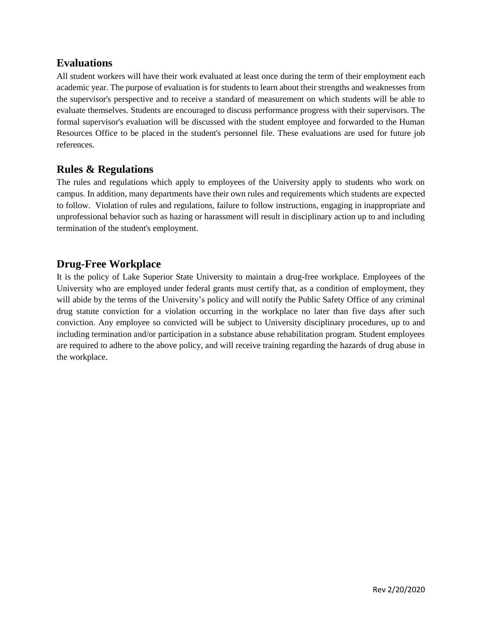## **Evaluations**

All student workers will have their work evaluated at least once during the term of their employment each academic year. The purpose of evaluation is for students to learn about their strengths and weaknesses from the supervisor's perspective and to receive a standard of measurement on which students will be able to evaluate themselves. Students are encouraged to discuss performance progress with their supervisors. The formal supervisor's evaluation will be discussed with the student employee and forwarded to the Human Resources Office to be placed in the student's personnel file. These evaluations are used for future job references.

## **Rules & Regulations**

The rules and regulations which apply to employees of the University apply to students who work on campus. In addition, many departments have their own rules and requirements which students are expected to follow. Violation of rules and regulations, failure to follow instructions, engaging in inappropriate and unprofessional behavior such as hazing or harassment will result in disciplinary action up to and including termination of the student's employment.

## **Drug-Free Workplace**

It is the policy of Lake Superior State University to maintain a drug-free workplace. Employees of the University who are employed under federal grants must certify that, as a condition of employment, they will abide by the terms of the University's policy and will notify the Public Safety Office of any criminal drug statute conviction for a violation occurring in the workplace no later than five days after such conviction. Any employee so convicted will be subject to University disciplinary procedures, up to and including termination and/or participation in a substance abuse rehabilitation program. Student employees are required to adhere to the above policy, and will receive training regarding the hazards of drug abuse in the workplace.